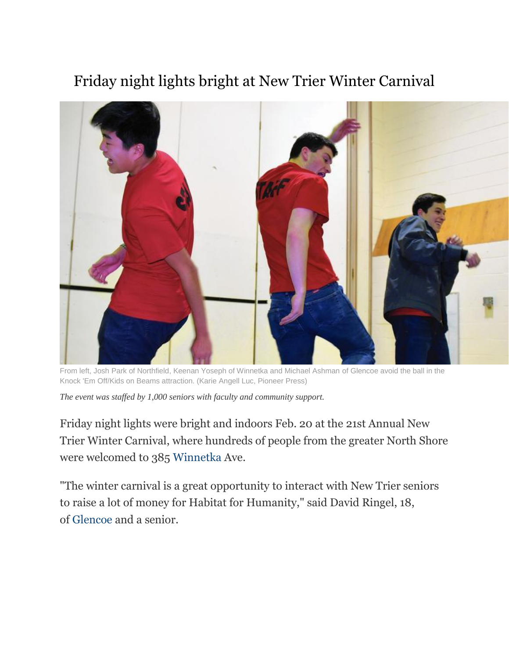## Friday night lights bright at New Trier Winter Carnival



From left, Josh Park of Northfield, Keenan Yoseph of Winnetka and Michael Ashman of Glencoe avoid the ball in the Knock 'Em Off/Kids on Beams attraction. (Karie Angell Luc, Pioneer Press)

*The event was staffed by 1,000 seniors with faculty and community support.*

Friday night lights were bright and indoors Feb. 20 at the 21st Annual New Trier Winter Carnival, where hundreds of people from the greater North Shore were welcomed to 385 [Winnetka](http://www.chicagotribune.com/topic/chicago-suburbs/winnetka-CHIS0085-topic.html) Ave.

"The winter carnival is a great opportunity to interact with New Trier seniors to raise a lot of money for Habitat for Humanity," said David Ringel, 18, of [Glencoe](http://www.chicagotribune.com/topic/chicago-suburbs/glencoe-CHIS0024-topic.html) and a senior.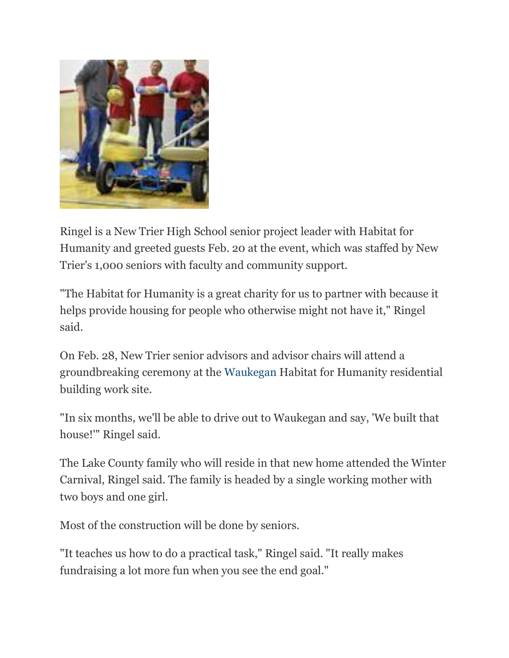

Ringel is a New Trier High School senior project leader with Habitat for Humanity and greeted guests Feb. 20 at the event, which was staffed by New Trier's 1,000 seniors with faculty and community support.

"The Habitat for Humanity is a great charity for us to partner with because it helps provide housing for people who otherwise might not have it," Ringel said.

On Feb. 28, New Trier senior advisors and advisor chairs will attend a groundbreaking ceremony at the [Waukegan](http://www.chicagotribune.com/topic/chicago-suburbs/waukegan-CHIS0088-topic.html) Habitat for Humanity residential building work site.

"In six months, we'll be able to drive out to Waukegan and say, 'We built that house!'" Ringel said.

The Lake County family who will reside in that new home attended the Winter Carnival, Ringel said. The family is headed by a single working mother with two boys and one girl.

Most of the construction will be done by seniors.

"It teaches us how to do a practical task," Ringel said. "It really makes fundraising a lot more fun when you see the end goal."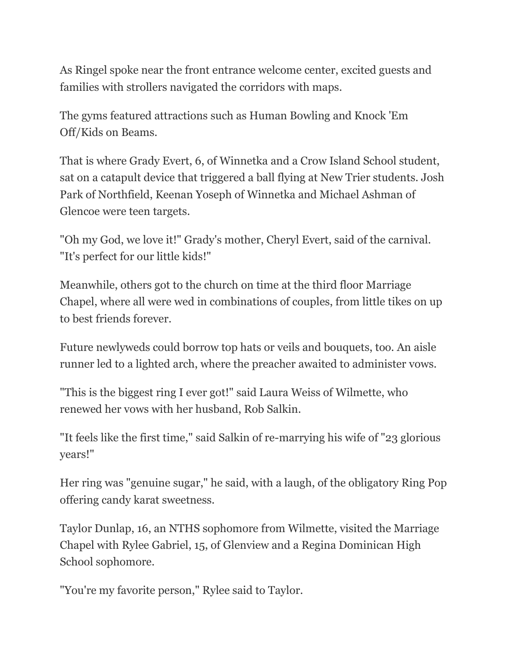As Ringel spoke near the front entrance welcome center, excited guests and families with strollers navigated the corridors with maps.

The gyms featured attractions such as Human Bowling and Knock 'Em Off/Kids on Beams.

That is where Grady Evert, 6, of Winnetka and a Crow Island School student, sat on a catapult device that triggered a ball flying at New Trier students. Josh Park of Northfield, Keenan Yoseph of Winnetka and Michael Ashman of Glencoe were teen targets.

"Oh my God, we love it!" Grady's mother, Cheryl Evert, said of the carnival. "It's perfect for our little kids!"

Meanwhile, others got to the church on time at the third floor Marriage Chapel, where all were wed in combinations of couples, from little tikes on up to best friends forever.

Future newlyweds could borrow top hats or veils and bouquets, too. An aisle runner led to a lighted arch, where the preacher awaited to administer vows.

"This is the biggest ring I ever got!" said Laura Weiss of Wilmette, who renewed her vows with her husband, Rob Salkin.

"It feels like the first time," said Salkin of re-marrying his wife of "23 glorious years!"

Her ring was "genuine sugar," he said, with a laugh, of the obligatory Ring Pop offering candy karat sweetness.

Taylor Dunlap, 16, an NTHS sophomore from Wilmette, visited the Marriage Chapel with Rylee Gabriel, 15, of Glenview and a Regina Dominican High School sophomore.

"You're my favorite person," Rylee said to Taylor.